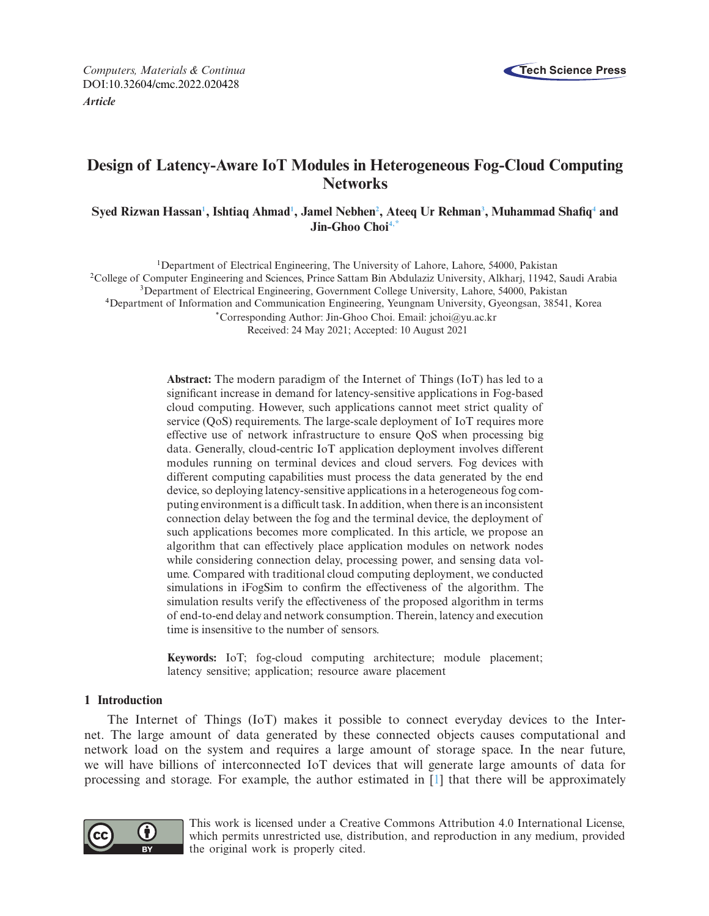

*Computers, Materials & Continua* **Tech Science Press** DOI[:10.32604/cmc.2022.020428](http://dx.doi.org/10.32604/cmc.2022.020428) *Article*

# **Design of Latency-Aware IoT Modules in Heterogeneous Fog-Cloud Computing Networks**

# ${\bf S}$ yed Rizwan Hassan<sup>1</sup>, Ishtiaq Ahmad<sup>1</sup>, Jamel Nebhen<sup>2</sup>, Ateeq Ur Rehman<sup>3</sup>, Muhammad Shafiq<sup>4</sup> and **Jin-Ghoo Cho[i4](#page-0-3)[,\\*](#page-0-4)**

<span id="page-0-3"></span><span id="page-0-2"></span><span id="page-0-1"></span><span id="page-0-0"></span>1Department of Electrical Engineering, The University of Lahore, Lahore, 54000, Pakistan 2College of Computer Engineering and Sciences, Prince Sattam Bin Abdulaziz University, Alkharj, 11942, Saudi Arabia 3Department of Electrical Engineering, Government College University, Lahore, 54000, Pakistan 4Department of Information and Communication Engineering, Yeungnam University, Gyeongsan, 38541, Korea \*Corresponding Author: Jin-Ghoo Choi. Email: jchoi@yu.ac.kr

<span id="page-0-4"></span>Received: 24 May 2021; Accepted: 10 August 2021

**Abstract:** The modern paradigm of the Internet of Things (IoT) has led to a significant increase in demand for latency-sensitive applications in Fog-based cloud computing. However, such applications cannot meet strict quality of service (QoS) requirements. The large-scale deployment of IoT requires more effective use of network infrastructure to ensure QoS when processing big data. Generally, cloud-centric IoT application deployment involves different modules running on terminal devices and cloud servers. Fog devices with different computing capabilities must process the data generated by the end device, so deploying latency-sensitive applications in a heterogeneous fog computing environment is a difficult task. In addition, when there is an inconsistent connection delay between the fog and the terminal device, the deployment of such applications becomes more complicated. In this article, we propose an algorithm that can effectively place application modules on network nodes while considering connection delay, processing power, and sensing data volume. Compared with traditional cloud computing deployment, we conducted simulations in iFogSim to confirm the effectiveness of the algorithm. The simulation results verify the effectiveness of the proposed algorithm in terms of end-to-end delay and network consumption. Therein, latency and execution time is insensitive to the number of sensors.

**Keywords:** IoT; fog-cloud computing architecture; module placement; latency sensitive; application; resource aware placement

# **1 Introduction**

The Internet of Things (IoT) makes it possible to connect everyday devices to the Internet. The large amount of data generated by these connected objects causes computational and network load on the system and requires a large amount of storage space. In the near future, we will have billions of interconnected IoT devices that will generate large amounts of data for processing and storage. For example, the author estimated in [\[1\]](#page-13-0) that there will be approximately



This work is licensed under a Creative Commons Attribution 4.0 International License, which permits unrestricted use, distribution, and reproduction in any medium, provided the original work is properly cited.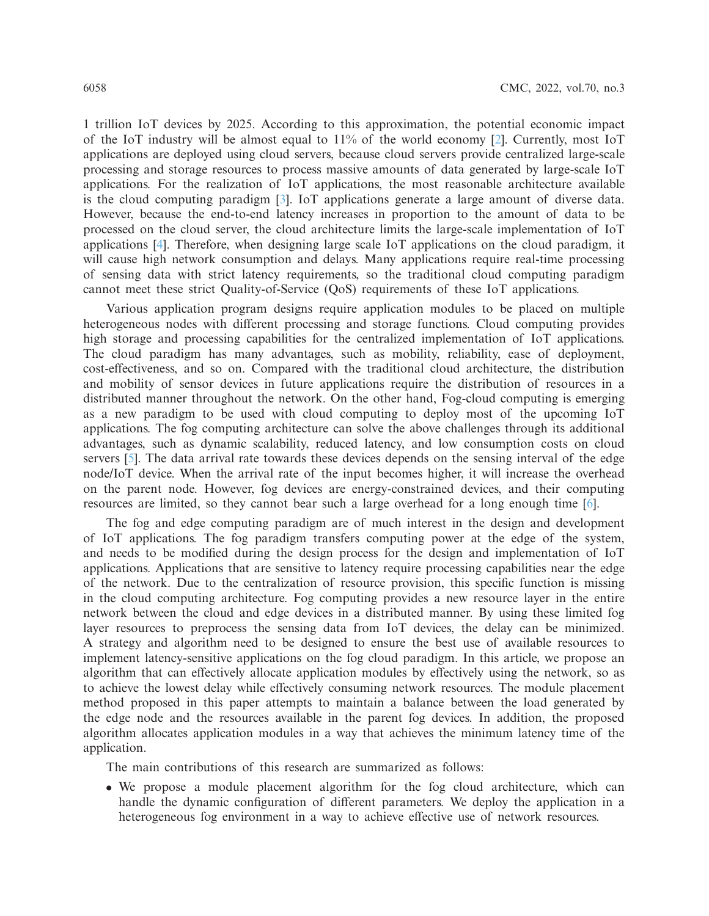1 trillion IoT devices by 2025. According to this approximation, the potential economic impact of the IoT industry will be almost equal to  $11\%$  of the world economy [\[2\]](#page-13-1). Currently, most IoT applications are deployed using cloud servers, because cloud servers provide centralized large-scale processing and storage resources to process massive amounts of data generated by large-scale IoT applications. For the realization of IoT applications, the most reasonable architecture available is the cloud computing paradigm [\[3\]](#page-14-0). IoT applications generate a large amount of diverse data. However, because the end-to-end latency increases in proportion to the amount of data to be processed on the cloud server, the cloud architecture limits the large-scale implementation of IoT applications [\[4\]](#page-14-1). Therefore, when designing large scale IoT applications on the cloud paradigm, it will cause high network consumption and delays. Many applications require real-time processing of sensing data with strict latency requirements, so the traditional cloud computing paradigm cannot meet these strict Quality-of-Service (QoS) requirements of these IoT applications.

Various application program designs require application modules to be placed on multiple heterogeneous nodes with different processing and storage functions. Cloud computing provides high storage and processing capabilities for the centralized implementation of IoT applications. The cloud paradigm has many advantages, such as mobility, reliability, ease of deployment, cost-effectiveness, and so on. Compared with the traditional cloud architecture, the distribution and mobility of sensor devices in future applications require the distribution of resources in a distributed manner throughout the network. On the other hand, Fog-cloud computing is emerging as a new paradigm to be used with cloud computing to deploy most of the upcoming IoT applications. The fog computing architecture can solve the above challenges through its additional advantages, such as dynamic scalability, reduced latency, and low consumption costs on cloud servers [\[5\]](#page-14-2). The data arrival rate towards these devices depends on the sensing interval of the edge node/IoT device. When the arrival rate of the input becomes higher, it will increase the overhead on the parent node. However, fog devices are energy-constrained devices, and their computing resources are limited, so they cannot bear such a large overhead for a long enough time [\[6](#page-14-3)].

The fog and edge computing paradigm are of much interest in the design and development of IoT applications. The fog paradigm transfers computing power at the edge of the system, and needs to be modified during the design process for the design and implementation of IoT applications. Applications that are sensitive to latency require processing capabilities near the edge of the network. Due to the centralization of resource provision, this specific function is missing in the cloud computing architecture. Fog computing provides a new resource layer in the entire network between the cloud and edge devices in a distributed manner. By using these limited fog layer resources to preprocess the sensing data from IoT devices, the delay can be minimized. A strategy and algorithm need to be designed to ensure the best use of available resources to implement latency-sensitive applications on the fog cloud paradigm. In this article, we propose an algorithm that can effectively allocate application modules by effectively using the network, so as to achieve the lowest delay while effectively consuming network resources. The module placement method proposed in this paper attempts to maintain a balance between the load generated by the edge node and the resources available in the parent fog devices. In addition, the proposed algorithm allocates application modules in a way that achieves the minimum latency time of the application.

The main contributions of this research are summarized as follows:

• We propose a module placement algorithm for the fog cloud architecture, which can handle the dynamic configuration of different parameters. We deploy the application in a heterogeneous fog environment in a way to achieve effective use of network resources.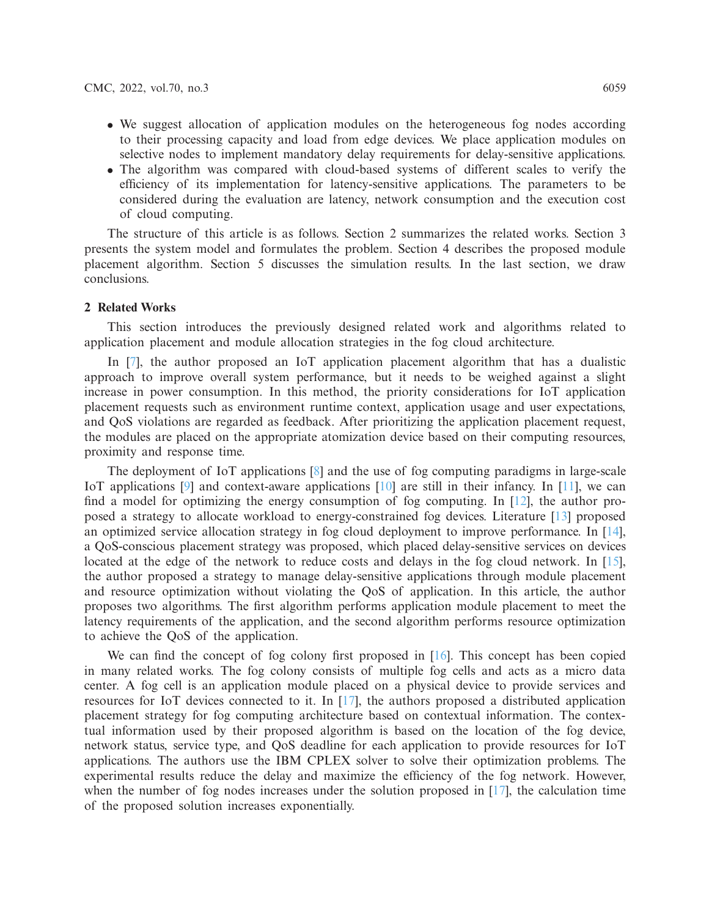- We suggest allocation of application modules on the heterogeneous fog nodes according to their processing capacity and load from edge devices. We place application modules on selective nodes to implement mandatory delay requirements for delay-sensitive applications.
- The algorithm was compared with cloud-based systems of different scales to verify the efficiency of its implementation for latency-sensitive applications. The parameters to be considered during the evaluation are latency, network consumption and the execution cost of cloud computing.

The structure of this article is as follows. Section 2 summarizes the related works. Section 3 presents the system model and formulates the problem. Section 4 describes the proposed module placement algorithm. Section 5 discusses the simulation results. In the last section, we draw conclusions.

## **2 Related Works**

This section introduces the previously designed related work and algorithms related to application placement and module allocation strategies in the fog cloud architecture.

In [\[7\]](#page-14-4), the author proposed an IoT application placement algorithm that has a dualistic approach to improve overall system performance, but it needs to be weighed against a slight increase in power consumption. In this method, the priority considerations for IoT application placement requests such as environment runtime context, application usage and user expectations, and QoS violations are regarded as feedback. After prioritizing the application placement request, the modules are placed on the appropriate atomization device based on their computing resources, proximity and response time.

The deployment of IoT applications [\[8](#page-14-5)] and the use of fog computing paradigms in large-scale IoT applications  $[9]$  and context-aware applications  $[10]$  are still in their infancy. In  $[11]$ , we can find a model for optimizing the energy consumption of fog computing. In [\[12\]](#page-14-9), the author proposed a strategy to allocate workload to energy-constrained fog devices. Literature [\[13](#page-14-10)] proposed an optimized service allocation strategy in fog cloud deployment to improve performance. In [\[14\]](#page-14-11), a QoS-conscious placement strategy was proposed, which placed delay-sensitive services on devices located at the edge of the network to reduce costs and delays in the fog cloud network. In [\[15\]](#page-14-12), the author proposed a strategy to manage delay-sensitive applications through module placement and resource optimization without violating the QoS of application. In this article, the author proposes two algorithms. The first algorithm performs application module placement to meet the latency requirements of the application, and the second algorithm performs resource optimization to achieve the QoS of the application.

We can find the concept of fog colony first proposed in  $[16]$ . This concept has been copied in many related works. The fog colony consists of multiple fog cells and acts as a micro data center. A fog cell is an application module placed on a physical device to provide services and resources for IoT devices connected to it. In [\[17\]](#page-14-14), the authors proposed a distributed application placement strategy for fog computing architecture based on contextual information. The contextual information used by their proposed algorithm is based on the location of the fog device, network status, service type, and QoS deadline for each application to provide resources for IoT applications. The authors use the IBM CPLEX solver to solve their optimization problems. The experimental results reduce the delay and maximize the efficiency of the fog network. However, when the number of fog nodes increases under the solution proposed in [\[17\]](#page-14-14), the calculation time of the proposed solution increases exponentially.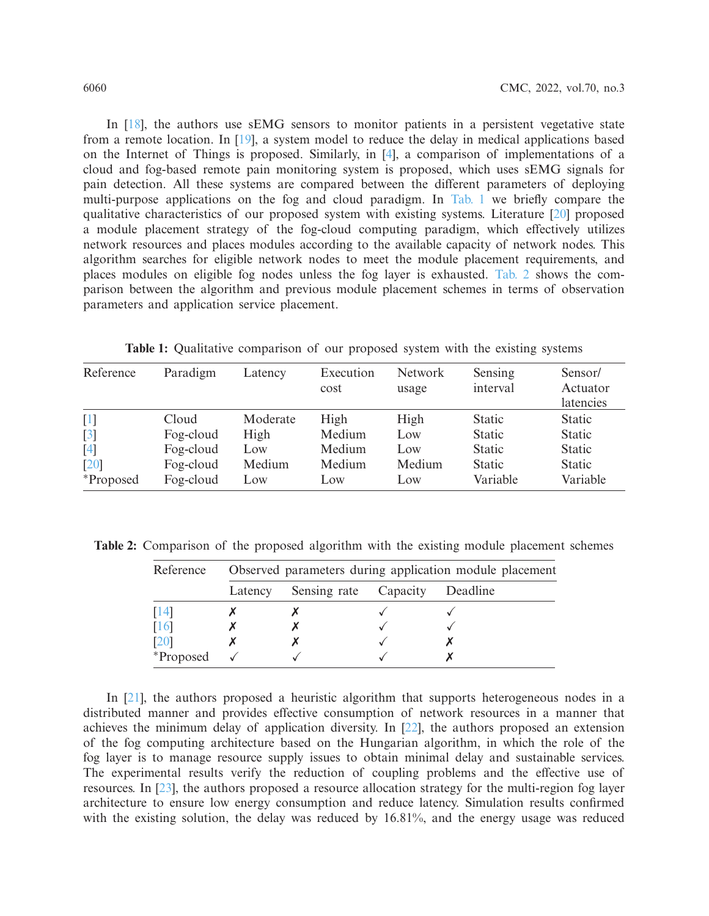In [\[18\]](#page-14-15), the authors use sEMG sensors to monitor patients in a persistent vegetative state from a remote location. In [\[19](#page-14-16)], a system model to reduce the delay in medical applications based on the Internet of Things is proposed. Similarly, in [\[4\]](#page-14-1), a comparison of implementations of a cloud and fog-based remote pain monitoring system is proposed, which uses sEMG signals for pain detection. All these systems are compared between the different parameters of deploying multi-purpose applications on the fog and cloud paradigm. In [Tab. 1](#page-3-0) we briefly compare the qualitative characteristics of our proposed system with existing systems. Literature [\[20](#page-14-17)] proposed a module placement strategy of the fog-cloud computing paradigm, which effectively utilizes network resources and places modules according to the available capacity of network nodes. This algorithm searches for eligible network nodes to meet the module placement requirements, and places modules on eligible fog nodes unless the fog layer is exhausted. [Tab. 2](#page-3-1) shows the comparison between the algorithm and previous module placement schemes in terms of observation parameters and application service placement.

<span id="page-3-0"></span>

| Reference        | Paradigm  | Latency  | Execution<br>cost | <b>Network</b><br>usage | Sensing<br>interval | Sensor/<br>Actuator<br>latencies |
|------------------|-----------|----------|-------------------|-------------------------|---------------------|----------------------------------|
| $[1]$            | Cloud     | Moderate | High              | High                    | <b>Static</b>       | <b>Static</b>                    |
| $\left[3\right]$ | Fog-cloud | High     | Medium            | Low                     | <b>Static</b>       | <b>Static</b>                    |
| $[4]$            | Fog-cloud | Low      | Medium            | Low                     | <b>Static</b>       | <b>Static</b>                    |
| [20]             | Fog-cloud | Medium   | Medium            | Medium                  | <b>Static</b>       | <b>Static</b>                    |
| <i>*Proposed</i> | Fog-cloud | Low      | Low               | Low                     | Variable            | Variable                         |

**Table 1:** Qualitative comparison of our proposed system with the existing systems

<span id="page-3-1"></span>**Table 2:** Comparison of the proposed algorithm with the existing module placement schemes

| Reference | Observed parameters during application module placement |                       |  |          |
|-----------|---------------------------------------------------------|-----------------------|--|----------|
|           | Latency                                                 | Sensing rate Capacity |  | Deadline |
| 14        |                                                         |                       |  |          |
| [16]      |                                                         |                       |  |          |
| 1201      |                                                         |                       |  |          |
| *Proposed |                                                         |                       |  |          |

In [\[21](#page-14-18)], the authors proposed a heuristic algorithm that supports heterogeneous nodes in a distributed manner and provides effective consumption of network resources in a manner that achieves the minimum delay of application diversity. In [\[22\]](#page-14-19), the authors proposed an extension of the fog computing architecture based on the Hungarian algorithm, in which the role of the fog layer is to manage resource supply issues to obtain minimal delay and sustainable services. The experimental results verify the reduction of coupling problems and the effective use of resources. In [\[23\]](#page-14-20), the authors proposed a resource allocation strategy for the multi-region fog layer architecture to ensure low energy consumption and reduce latency. Simulation results confirmed with the existing solution, the delay was reduced by 16.81%, and the energy usage was reduced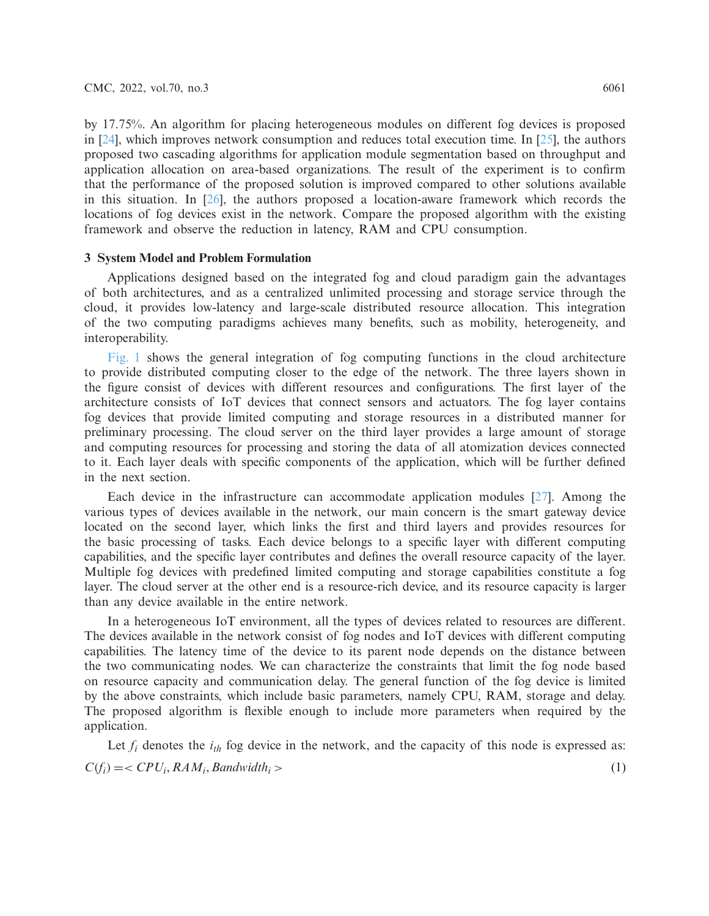by 17.75%. An algorithm for placing heterogeneous modules on different fog devices is proposed in [\[24](#page-15-0)], which improves network consumption and reduces total execution time. In [\[25\]](#page-15-1), the authors proposed two cascading algorithms for application module segmentation based on throughput and application allocation on area-based organizations. The result of the experiment is to confirm that the performance of the proposed solution is improved compared to other solutions available in this situation. In  $[26]$ , the authors proposed a location-aware framework which records the locations of fog devices exist in the network. Compare the proposed algorithm with the existing framework and observe the reduction in latency, RAM and CPU consumption.

# **3 System Model and Problem Formulation**

Applications designed based on the integrated fog and cloud paradigm gain the advantages of both architectures, and as a centralized unlimited processing and storage service through the cloud, it provides low-latency and large-scale distributed resource allocation. This integration of the two computing paradigms achieves many benefits, such as mobility, heterogeneity, and interoperability.

[Fig. 1](#page-5-0) shows the general integration of fog computing functions in the cloud architecture to provide distributed computing closer to the edge of the network. The three layers shown in the figure consist of devices with different resources and configurations. The first layer of the architecture consists of IoT devices that connect sensors and actuators. The fog layer contains fog devices that provide limited computing and storage resources in a distributed manner for preliminary processing. The cloud server on the third layer provides a large amount of storage and computing resources for processing and storing the data of all atomization devices connected to it. Each layer deals with specific components of the application, which will be further defined in the next section.

Each device in the infrastructure can accommodate application modules [\[27](#page-15-3)]. Among the various types of devices available in the network, our main concern is the smart gateway device located on the second layer, which links the first and third layers and provides resources for the basic processing of tasks. Each device belongs to a specific layer with different computing capabilities, and the specific layer contributes and defines the overall resource capacity of the layer. Multiple fog devices with predefined limited computing and storage capabilities constitute a fog layer. The cloud server at the other end is a resource-rich device, and its resource capacity is larger than any device available in the entire network.

In a heterogeneous IoT environment, all the types of devices related to resources are different. The devices available in the network consist of fog nodes and IoT devices with different computing capabilities. The latency time of the device to its parent node depends on the distance between the two communicating nodes. We can characterize the constraints that limit the fog node based on resource capacity and communication delay. The general function of the fog device is limited by the above constraints, which include basic parameters, namely CPU, RAM, storage and delay. The proposed algorithm is flexible enough to include more parameters when required by the application.

Let  $f_i$  denotes the  $i_{th}$  fog device in the network, and the capacity of this node is expressed as:  $C(f_i) = \langle CPU_i, RAM_i, Bandwidth_i \rangle$  (1)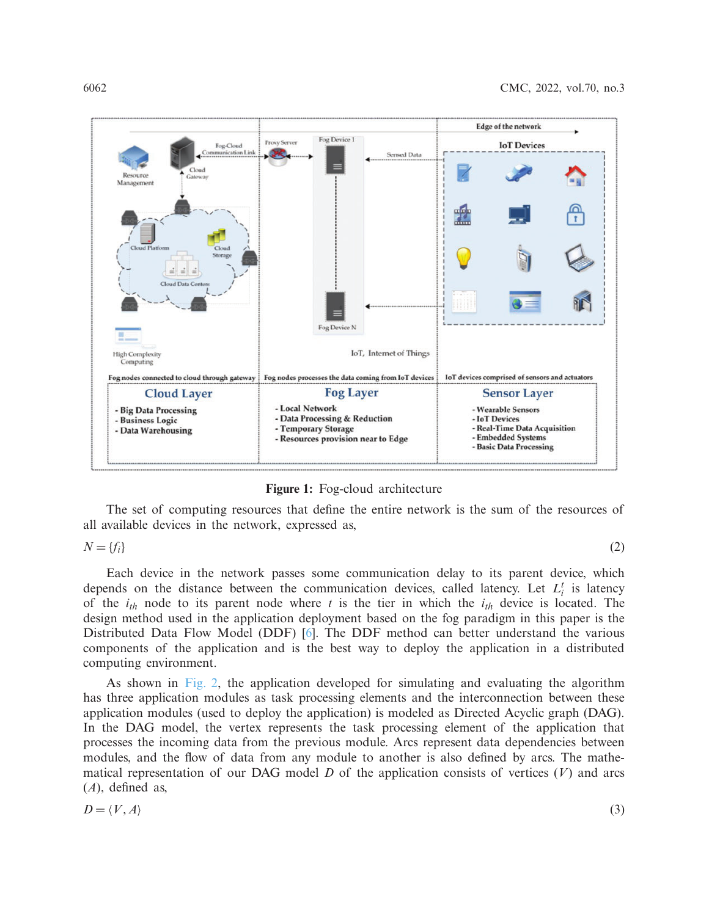

**Figure 1:** Fog-cloud architecture

The set of computing resources that define the entire network is the sum of the resources of all available devices in the network, expressed as,

$$
N = \{f_i\} \tag{2}
$$

<span id="page-5-0"></span>

Each device in the network passes some communication delay to its parent device, which depends on the distance between the communication devices, called latency. Let  $L_i^t$  is latency of the *ith* node to its parent node where *t* is the tier in which the *ith* device is located. The design method used in the application deployment based on the fog paradigm in this paper is the Distributed Data Flow Model (DDF) [\[6\]](#page-14-3). The DDF method can better understand the various components of the application and is the best way to deploy the application in a distributed computing environment.

As shown in [Fig. 2,](#page-6-0) the application developed for simulating and evaluating the algorithm has three application modules as task processing elements and the interconnection between these application modules (used to deploy the application) is modeled as Directed Acyclic graph (DAG). In the DAG model, the vertex represents the task processing element of the application that processes the incoming data from the previous module. Arcs represent data dependencies between modules, and the flow of data from any module to another is also defined by arcs. The mathematical representation of our DAG model  $D$  of the application consists of vertices  $(V)$  and arcs (*A*), defined as,

$$
D = \langle V, A \rangle \tag{3}
$$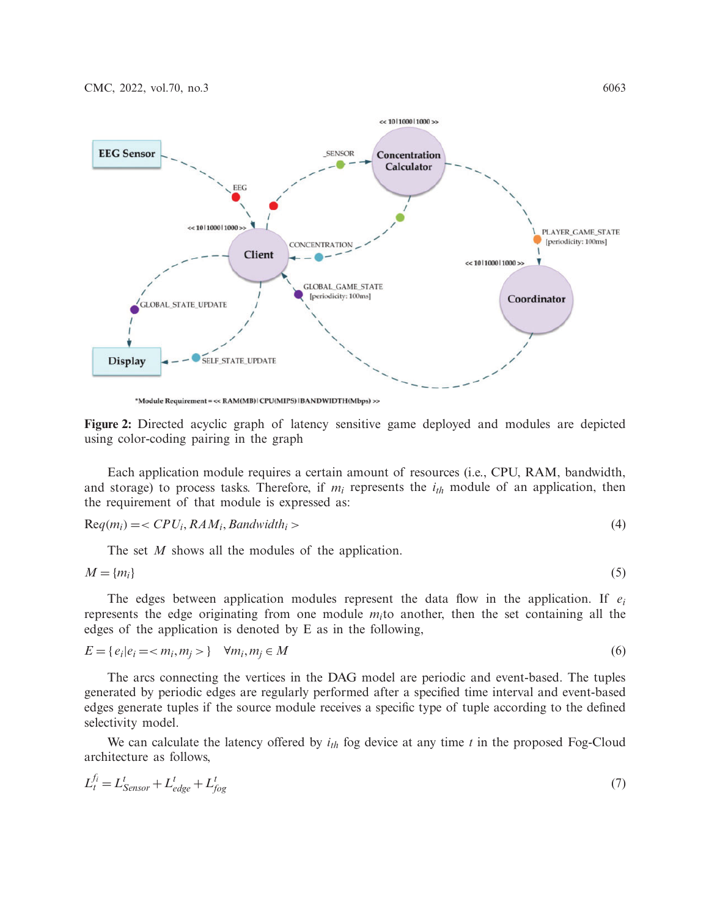

<span id="page-6-0"></span>\*Module Requirement = << RAM(MB)|CPU(MIPS)|BANDWIDTH(Mbps) >>

**Figure 2:** Directed acyclic graph of latency sensitive game deployed and modules are depicted using color-coding pairing in the graph

Each application module requires a certain amount of resources (i.e., CPU, RAM, bandwidth, and storage) to process tasks. Therefore, if  $m_i$  represents the  $i_{th}$  module of an application, then the requirement of that module is expressed as:

$$
Req(m_i) = \langle CPU_i, RAM_i, Bandwidth_i \rangle \tag{4}
$$

The set *M* shows all the modules of the application.

$$
M = \{m_i\} \tag{5}
$$

The edges between application modules represent the data flow in the application. If *ei* represents the edge originating from one module  $m<sub>i</sub>$  to another, then the set containing all the edges of the application is denoted by E as in the following,

$$
E = \{e_i | e_i = < m_i, m_j > \} \quad \forall m_i, m_j \in M \tag{6}
$$

The arcs connecting the vertices in the DAG model are periodic and event-based. The tuples generated by periodic edges are regularly performed after a specified time interval and event-based edges generate tuples if the source module receives a specific type of tuple according to the defined selectivity model.

We can calculate the latency offered by  $i_{th}$  fog device at any time  $t$  in the proposed Fog-Cloud architecture as follows,

$$
L_t^{f_i} = L_{Sensor}^t + L_{edge}^t + L_{fog}^t \tag{7}
$$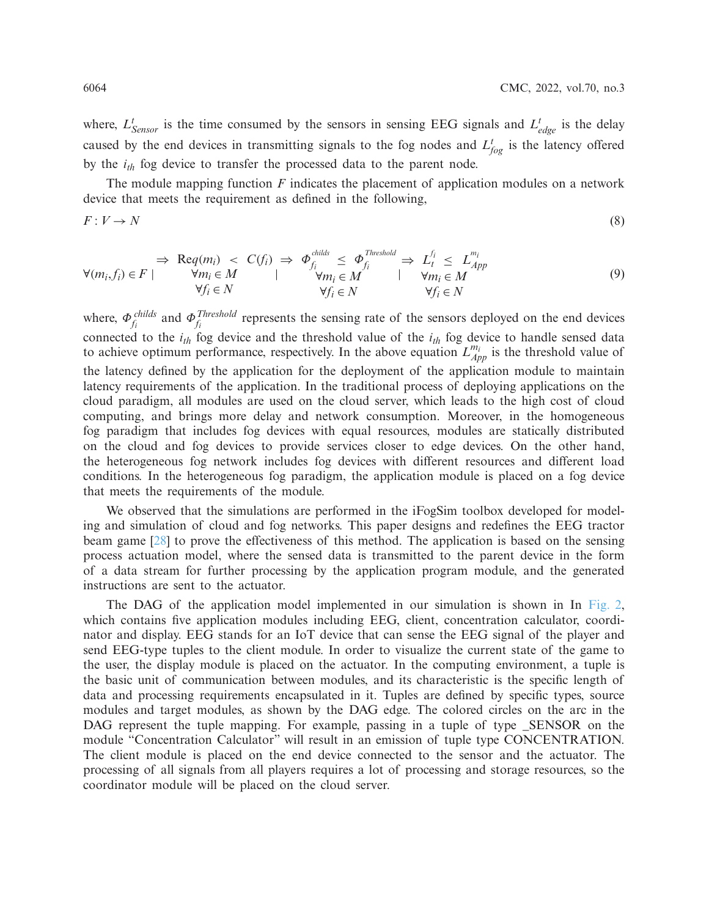where,  $L_{Sensor}^t$  is the time consumed by the sensors in sensing EEG signals and  $L_{edge}^t$  is the delay caused by the end devices in transmitting signals to the fog nodes and  $L_{fog}^t$  is the latency offered by the  $i_{th}$  fog device to transfer the processed data to the parent node.

The module mapping function *F* indicates the placement of application modules on a network device that meets the requirement as defined in the following,

$$
F: V \to N \tag{8}
$$

$$
\forall (m_i, f_i) \in F \mid \begin{array}{c}\n\Rightarrow \text{Reg}(m_i) < C(f_i) \Rightarrow \Phi_{f_i}^{childs} \leq \Phi_{f_i}^{Threshold} \Rightarrow L_t^{f_i} \leq L_{App}^{m_i} \\
\forall m_i \in M \quad \forall m_i \in M \quad \forall m_i \in M \quad \forall m_i \in M \quad \forall f_i \in N\n\end{array} \tag{9}
$$

where,  $\Phi_{f_i}^{childs}$  and  $\Phi_{f_i}^{Threshold}$  represents the sensing rate of the sensors deployed on the end devices connected to the *ith* fog device and the threshold value of the *ith* fog device to handle sensed data to achieve optimum performance, respectively. In the above equation  $L_{App}^{m_i}$  is the threshold value of the latency defined by the application for the deployment of the application module to maintain latency requirements of the application. In the traditional process of deploying applications on the cloud paradigm, all modules are used on the cloud server, which leads to the high cost of cloud computing, and brings more delay and network consumption. Moreover, in the homogeneous fog paradigm that includes fog devices with equal resources, modules are statically distributed on the cloud and fog devices to provide services closer to edge devices. On the other hand, the heterogeneous fog network includes fog devices with different resources and different load conditions. In the heterogeneous fog paradigm, the application module is placed on a fog device that meets the requirements of the module.

We observed that the simulations are performed in the iFogSim toolbox developed for modeling and simulation of cloud and fog networks. This paper designs and redefines the EEG tractor beam game [\[28\]](#page-15-4) to prove the effectiveness of this method. The application is based on the sensing process actuation model, where the sensed data is transmitted to the parent device in the form of a data stream for further processing by the application program module, and the generated instructions are sent to the actuator.

The DAG of the application model implemented in our simulation is shown in In [Fig. 2,](#page-6-0) which contains five application modules including EEG, client, concentration calculator, coordinator and display. EEG stands for an IoT device that can sense the EEG signal of the player and send EEG-type tuples to the client module. In order to visualize the current state of the game to the user, the display module is placed on the actuator. In the computing environment, a tuple is the basic unit of communication between modules, and its characteristic is the specific length of data and processing requirements encapsulated in it. Tuples are defined by specific types, source modules and target modules, as shown by the DAG edge. The colored circles on the arc in the DAG represent the tuple mapping. For example, passing in a tuple of type \_SENSOR on the module "Concentration Calculator" will result in an emission of tuple type CONCENTRATION. The client module is placed on the end device connected to the sensor and the actuator. The processing of all signals from all players requires a lot of processing and storage resources, so the coordinator module will be placed on the cloud server.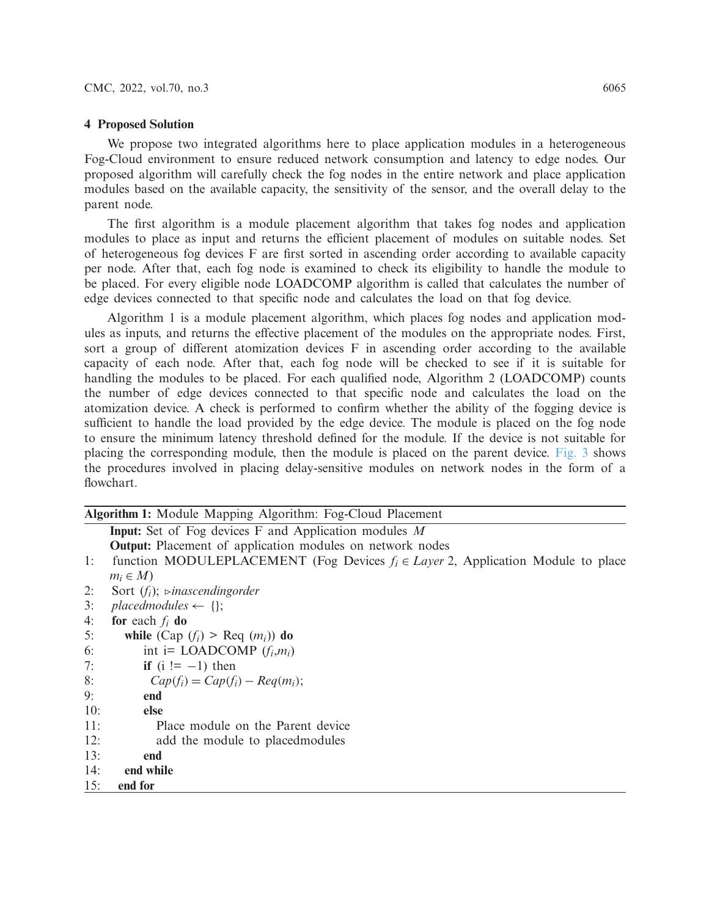#### **4 Proposed Solution**

We propose two integrated algorithms here to place application modules in a heterogeneous Fog-Cloud environment to ensure reduced network consumption and latency to edge nodes. Our proposed algorithm will carefully check the fog nodes in the entire network and place application modules based on the available capacity, the sensitivity of the sensor, and the overall delay to the parent node.

The first algorithm is a module placement algorithm that takes fog nodes and application modules to place as input and returns the efficient placement of modules on suitable nodes. Set of heterogeneous fog devices F are first sorted in ascending order according to available capacity per node. After that, each fog node is examined to check its eligibility to handle the module to be placed. For every eligible node LOADCOMP algorithm is called that calculates the number of edge devices connected to that specific node and calculates the load on that fog device.

Algorithm 1 is a module placement algorithm, which places fog nodes and application modules as inputs, and returns the effective placement of the modules on the appropriate nodes. First, sort a group of different atomization devices F in ascending order according to the available capacity of each node. After that, each fog node will be checked to see if it is suitable for handling the modules to be placed. For each qualified node, Algorithm 2 (LOADCOMP) counts the number of edge devices connected to that specific node and calculates the load on the atomization device. A check is performed to confirm whether the ability of the fogging device is sufficient to handle the load provided by the edge device. The module is placed on the fog node to ensure the minimum latency threshold defined for the module. If the device is not suitable for placing the corresponding module, then the module is placed on the parent device. [Fig. 3](#page-10-0) shows the procedures involved in placing delay-sensitive modules on network nodes in the form of a flowchart.

# **Algorithm 1:** Module Mapping Algorithm: Fog-Cloud Placement

**Input:** Set of Fog devices F and Application modules *M*

**Output:** Placement of application modules on network nodes

- 1: function MODULEPLACEMENT (Fog Devices *fi* ∈ *Layer* 2, Application Module to place  $m_i \in M$
- 2: Sort (*fi*); *inascendingorder*
- 3: *placedmodules*  $\leftarrow \{\}$ ;
- 4: **for** each *fi* **do**
- 5: **while**  $(Cap(f_i) > Req(m_i))$  **do**
- 6: int i= LOADCOMP  $(f_i, m_i)$
- 7: **if**  $(i := -1)$  then
- 8:  $Cap(f_i) = Cap(f_i) Reg(m_i);$
- 9: **end**
- 10: **else**
- 11: Place module on the Parent device
- 12: add the module to placedmodules
- 13: **end**
- 14: **end while**
- 15: **end for**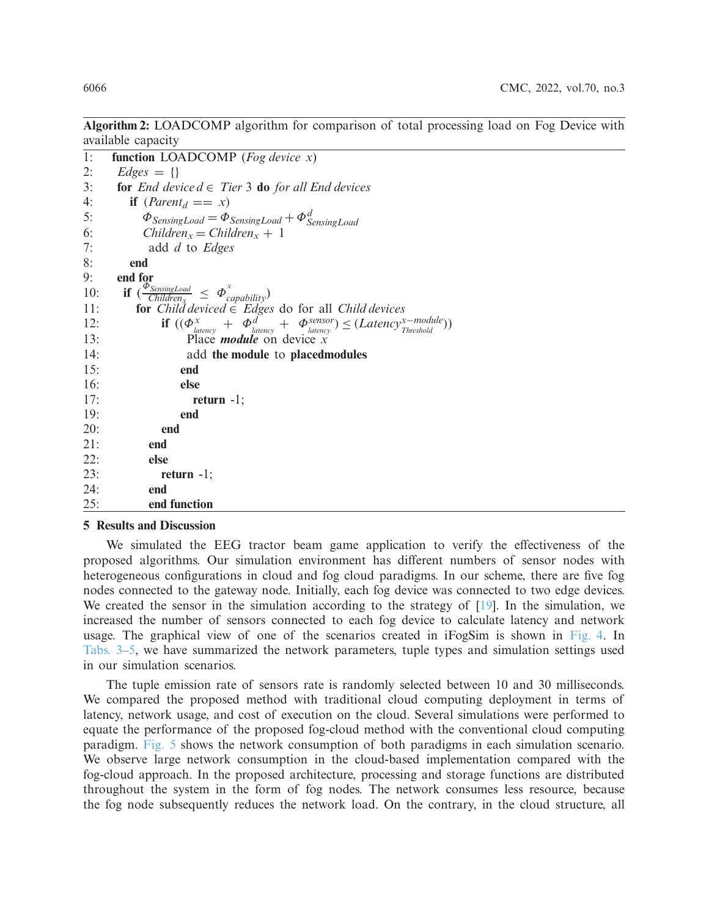**Algorithm 2:** LOADCOMP algorithm for comparison of total processing load on Fog Device with available capacity

```
1: function LOADCOMP (Fog device x)
2: Edges = {}
3: for End device d \in Tier 3 do for all End devices
4: if (Parent<sub>d</sub> == x)5: \Phi_{SensingLoad} = \Phi_{SensingLoad} + \Phi_{SensingLoad}^d6: Children<sub>x</sub> = Children<sub>x</sub> + 1
7: add d to Edges
8: end
9: end for
10: if \left(\frac{\Phi_{SensingLoad}}{Children_X}\right) \leq \Phi_{capability}^x11: for Child deviced ∈ Edges do for all Child devices
12: if ((\Phi_{\text{latency}}^x + \Phi_{\text{latency}}^d + \Phi_{\text{latency}}^{\text{sensor}}) \leq (Latency^{x - module}))13: Place module on device x
14: add the module to placedmodules
15: end
16: else
17: return -1;
19: end
20: end
21: end
22: else
23: return -1;
24: end
25: end function
```
# **5 Results and Discussion**

We simulated the EEG tractor beam game application to verify the effectiveness of the proposed algorithms. Our simulation environment has different numbers of sensor nodes with heterogeneous configurations in cloud and fog cloud paradigms. In our scheme, there are five fog nodes connected to the gateway node. Initially, each fog device was connected to two edge devices. We created the sensor in the simulation according to the strategy of  $[19]$ . In the simulation, we increased the number of sensors connected to each fog device to calculate latency and network usage. The graphical view of one of the scenarios created in iFogSim is shown in [Fig. 4.](#page-10-1) In [Tabs. 3–](#page-11-0)[5,](#page-11-1) we have summarized the network parameters, tuple types and simulation settings used in our simulation scenarios.

The tuple emission rate of sensors rate is randomly selected between 10 and 30 milliseconds. We compared the proposed method with traditional cloud computing deployment in terms of latency, network usage, and cost of execution on the cloud. Several simulations were performed to equate the performance of the proposed fog-cloud method with the conventional cloud computing paradigm. [Fig. 5](#page-12-0) shows the network consumption of both paradigms in each simulation scenario. We observe large network consumption in the cloud-based implementation compared with the fog-cloud approach. In the proposed architecture, processing and storage functions are distributed throughout the system in the form of fog nodes. The network consumes less resource, because the fog node subsequently reduces the network load. On the contrary, in the cloud structure, all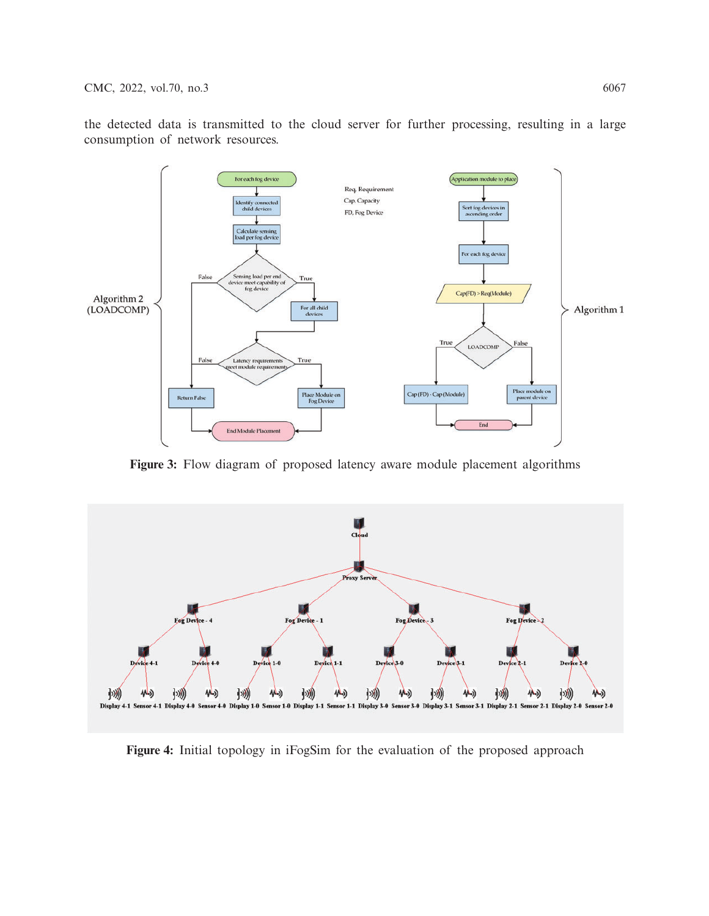the detected data is transmitted to the cloud server for further processing, resulting in a large consumption of network resources.



<span id="page-10-0"></span>**Figure 3:** Flow diagram of proposed latency aware module placement algorithms



<span id="page-10-1"></span>**Figure 4:** Initial topology in iFogSim for the evaluation of the proposed approach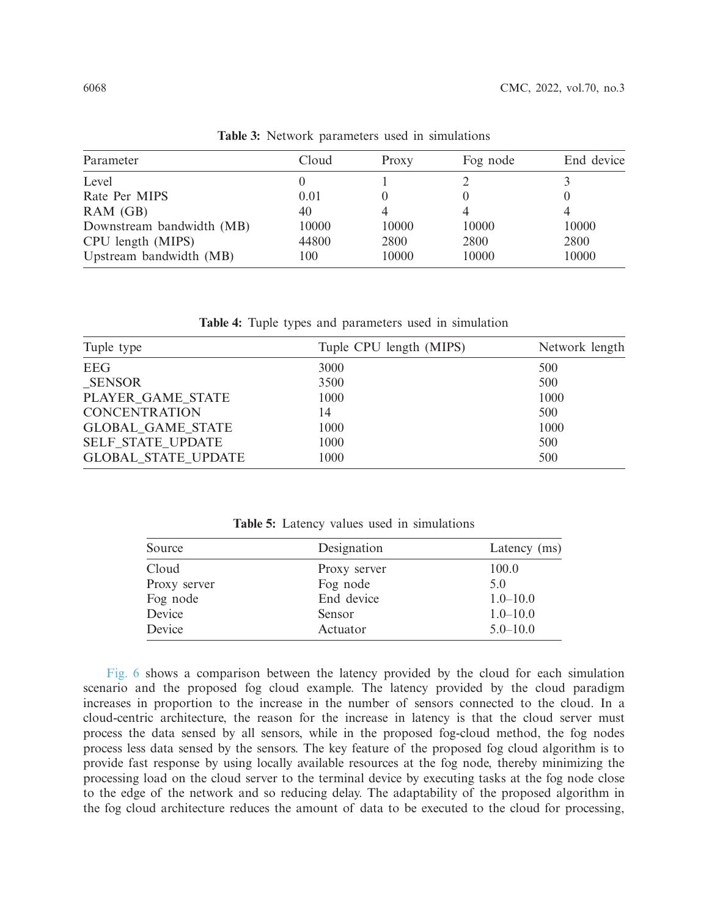<span id="page-11-0"></span>

| Cloud | Proxy | Fog node | End device |
|-------|-------|----------|------------|
|       |       |          |            |
| 0.01  |       |          |            |
| 40    |       | 4        |            |
| 10000 | 10000 | 10000    | 10000      |
| 44800 | 2800  | 2800     | 2800       |
| 100   | 10000 | 10000    | 10000      |
|       |       |          |            |

**Table 3:** Network parameters used in simulations

**Table 4:** Tuple types and parameters used in simulation

| Tuple type                 | Tuple CPU length (MIPS) | Network length |
|----------------------------|-------------------------|----------------|
| <b>EEG</b>                 | 3000                    | 500            |
| <b>SENSOR</b>              | 3500                    | 500            |
| PLAYER_GAME_STATE          | 1000                    | 1000           |
| <b>CONCENTRATION</b>       | 14                      | 500            |
| <b>GLOBAL GAME STATE</b>   | 1000                    | 1000           |
| SELF_STATE_UPDATE          | 1000                    | 500            |
| <b>GLOBAL STATE UPDATE</b> | 1000                    | 500            |

**Table 5:** Latency values used in simulations

<span id="page-11-1"></span>

| Source       | Designation  | Latency (ms) |
|--------------|--------------|--------------|
| Cloud        | Proxy server | 100.0        |
| Proxy server | Fog node     | 5.0          |
| Fog node     | End device   | $1.0 - 10.0$ |
| Device       | Sensor       | $1.0 - 10.0$ |
| Device       | Actuator     | $5.0 - 10.0$ |

[Fig. 6](#page-12-1) shows a comparison between the latency provided by the cloud for each simulation scenario and the proposed fog cloud example. The latency provided by the cloud paradigm increases in proportion to the increase in the number of sensors connected to the cloud. In a cloud-centric architecture, the reason for the increase in latency is that the cloud server must process the data sensed by all sensors, while in the proposed fog-cloud method, the fog nodes process less data sensed by the sensors. The key feature of the proposed fog cloud algorithm is to provide fast response by using locally available resources at the fog node, thereby minimizing the processing load on the cloud server to the terminal device by executing tasks at the fog node close to the edge of the network and so reducing delay. The adaptability of the proposed algorithm in the fog cloud architecture reduces the amount of data to be executed to the cloud for processing,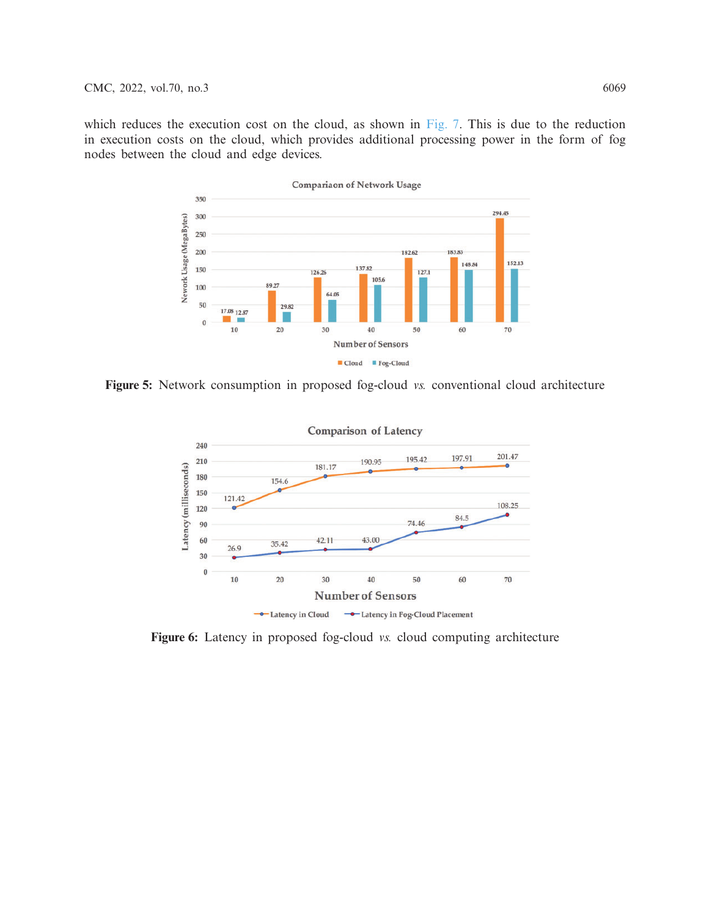which reduces the execution cost on the cloud, as shown in [Fig. 7.](#page-13-2) This is due to the reduction in execution costs on the cloud, which provides additional processing power in the form of fog nodes between the cloud and edge devices.



**Figure 5:** Network consumption in proposed fog-cloud *vs.* conventional cloud architecture

<span id="page-12-0"></span>

<span id="page-12-1"></span>**Figure 6:** Latency in proposed fog-cloud *vs.* cloud computing architecture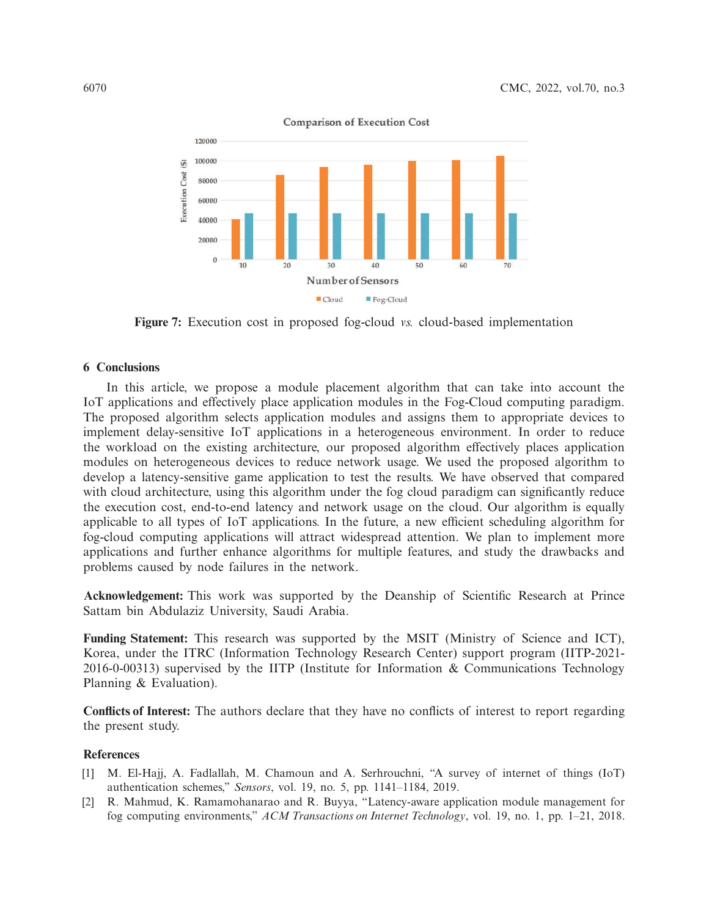

<span id="page-13-2"></span>**Figure 7:** Execution cost in proposed fog-cloud *vs.* cloud-based implementation

### **6 Conclusions**

In this article, we propose a module placement algorithm that can take into account the IoT applications and effectively place application modules in the Fog-Cloud computing paradigm. The proposed algorithm selects application modules and assigns them to appropriate devices to implement delay-sensitive IoT applications in a heterogeneous environment. In order to reduce the workload on the existing architecture, our proposed algorithm effectively places application modules on heterogeneous devices to reduce network usage. We used the proposed algorithm to develop a latency-sensitive game application to test the results. We have observed that compared with cloud architecture, using this algorithm under the fog cloud paradigm can significantly reduce the execution cost, end-to-end latency and network usage on the cloud. Our algorithm is equally applicable to all types of IoT applications. In the future, a new efficient scheduling algorithm for fog-cloud computing applications will attract widespread attention. We plan to implement more applications and further enhance algorithms for multiple features, and study the drawbacks and problems caused by node failures in the network.

**Acknowledgement:** This work was supported by the Deanship of Scientific Research at Prince Sattam bin Abdulaziz University, Saudi Arabia.

**Funding Statement:** This research was supported by the MSIT (Ministry of Science and ICT), Korea, under the ITRC (Information Technology Research Center) support program (IITP-2021- 2016-0-00313) supervised by the IITP (Institute for Information & Communications Technology Planning & Evaluation).

**Conflicts of Interest:** The authors declare that they have no conflicts of interest to report regarding the present study.

#### **References**

- <span id="page-13-0"></span>[1] M. El-Hajj, A. Fadlallah, M. Chamoun and A. Serhrouchni, "A survey of internet of things (IoT) authentication schemes," *Sensors*, vol. 19, no. 5, pp. 1141–1184, 2019.
- <span id="page-13-1"></span>[2] R. Mahmud, K. Ramamohanarao and R. Buyya, "Latency-aware application module management for fog computing environments," *ACM Transactions on Internet Technology*, vol. 19, no. 1, pp. 1–21, 2018.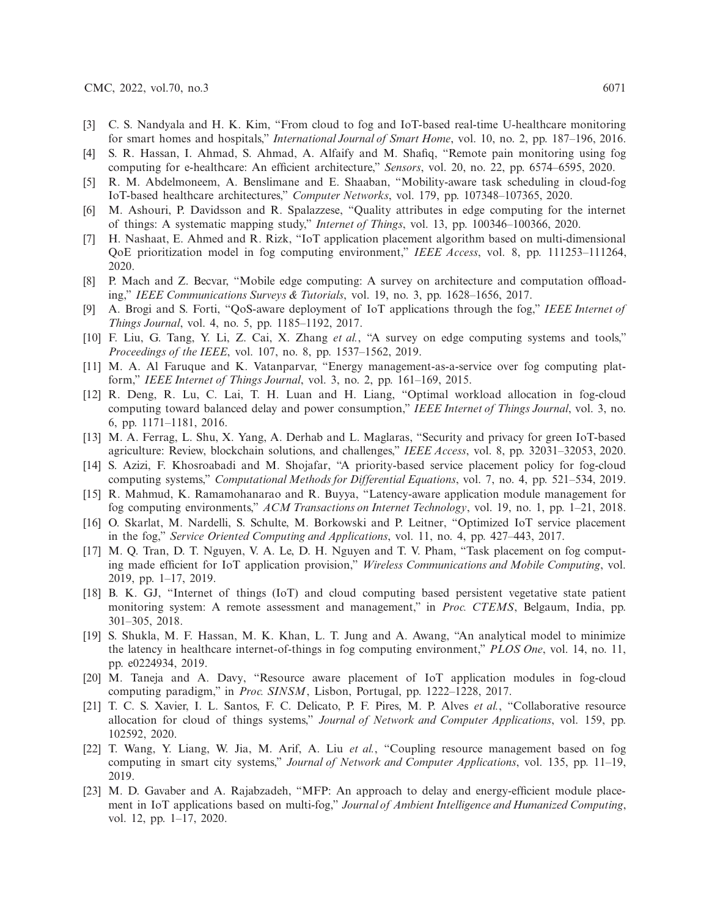- <span id="page-14-0"></span>[3] C. S. Nandyala and H. K. Kim, "From cloud to fog and IoT-based real-time U-healthcare monitoring for smart homes and hospitals," *International Journal of Smart Home*, vol. 10, no. 2, pp. 187–196, 2016.
- <span id="page-14-1"></span>[4] S. R. Hassan, I. Ahmad, S. Ahmad, A. Alfaify and M. Shafiq, "Remote pain monitoring using fog computing for e-healthcare: An efficient architecture," *Sensors*, vol. 20, no. 22, pp. 6574–6595, 2020.
- <span id="page-14-2"></span>[5] R. M. Abdelmoneem, A. Benslimane and E. Shaaban, "Mobility-aware task scheduling in cloud-fog IoT-based healthcare architectures," *Computer Networks*, vol. 179, pp. 107348–107365, 2020.
- <span id="page-14-3"></span>[6] M. Ashouri, P. Davidsson and R. Spalazzese, "Quality attributes in edge computing for the internet of things: A systematic mapping study," *Internet of Things*, vol. 13, pp. 100346–100366, 2020.
- <span id="page-14-4"></span>[7] H. Nashaat, E. Ahmed and R. Rizk, "IoT application placement algorithm based on multi-dimensional QoE prioritization model in fog computing environment," *IEEE Access*, vol. 8, pp. 111253–111264, 2020.
- <span id="page-14-5"></span>[8] P. Mach and Z. Becvar, "Mobile edge computing: A survey on architecture and computation offloading," *IEEE Communications Surveys & Tutorials*, vol. 19, no. 3, pp. 1628–1656, 2017.
- <span id="page-14-6"></span>[9] A. Brogi and S. Forti, "QoS-aware deployment of IoT applications through the fog," *IEEE Internet of Things Journal*, vol. 4, no. 5, pp. 1185–1192, 2017.
- <span id="page-14-7"></span>[10] F. Liu, G. Tang, Y. Li, Z. Cai, X. Zhang *et al.*, "A survey on edge computing systems and tools," *Proceedings of the IEEE*, vol. 107, no. 8, pp. 1537–1562, 2019.
- <span id="page-14-8"></span>[11] M. A. Al Faruque and K. Vatanparvar, "Energy management-as-a-service over fog computing platform," *IEEE Internet of Things Journal*, vol. 3, no. 2, pp. 161–169, 2015.
- <span id="page-14-9"></span>[12] R. Deng, R. Lu, C. Lai, T. H. Luan and H. Liang, "Optimal workload allocation in fog-cloud computing toward balanced delay and power consumption," *IEEE Internet of Things Journal*, vol. 3, no. 6, pp. 1171–1181, 2016.
- <span id="page-14-10"></span>[13] M. A. Ferrag, L. Shu, X. Yang, A. Derhab and L. Maglaras, "Security and privacy for green IoT-based agriculture: Review, blockchain solutions, and challenges," *IEEE Access*, vol. 8, pp. 32031–32053, 2020.
- <span id="page-14-11"></span>[14] S. Azizi, F. Khosroabadi and M. Shojafar, "A priority-based service placement policy for fog-cloud computing systems," *Computational Methods for Differential Equations*, vol. 7, no. 4, pp. 521–534, 2019.
- <span id="page-14-12"></span>[15] R. Mahmud, K. Ramamohanarao and R. Buyya, "Latency-aware application module management for fog computing environments," *ACM Transactions on Internet Technology*, vol. 19, no. 1, pp. 1–21, 2018.
- <span id="page-14-13"></span>[16] O. Skarlat, M. Nardelli, S. Schulte, M. Borkowski and P. Leitner, "Optimized IoT service placement in the fog," *Service Oriented Computing and Applications*, vol. 11, no. 4, pp. 427–443, 2017.
- <span id="page-14-14"></span>[17] M. Q. Tran, D. T. Nguyen, V. A. Le, D. H. Nguyen and T. V. Pham, "Task placement on fog computing made efficient for IoT application provision," *Wireless Communications and Mobile Computing*, vol. 2019, pp. 1–17, 2019.
- <span id="page-14-15"></span>[18] B. K. GJ, "Internet of things (IoT) and cloud computing based persistent vegetative state patient monitoring system: A remote assessment and management," in *Proc. CTEMS*, Belgaum, India, pp. 301–305, 2018.
- <span id="page-14-16"></span>[19] S. Shukla, M. F. Hassan, M. K. Khan, L. T. Jung and A. Awang, "An analytical model to minimize the latency in healthcare internet-of-things in fog computing environment," *PLOS One*, vol. 14, no. 11, pp. e0224934, 2019.
- <span id="page-14-17"></span>[20] M. Taneja and A. Davy, "Resource aware placement of IoT application modules in fog-cloud computing paradigm," in *Proc. SINSM*, Lisbon, Portugal, pp. 1222–1228, 2017.
- <span id="page-14-18"></span>[21] T. C. S. Xavier, I. L. Santos, F. C. Delicato, P. F. Pires, M. P. Alves *et al.*, "Collaborative resource allocation for cloud of things systems," *Journal of Network and Computer Applications*, vol. 159, pp. 102592, 2020.
- <span id="page-14-19"></span>[22] T. Wang, Y. Liang, W. Jia, M. Arif, A. Liu *et al.*, "Coupling resource management based on fog computing in smart city systems," *Journal of Network and Computer Applications*, vol. 135, pp. 11–19, 2019.
- <span id="page-14-20"></span>[23] M. D. Gavaber and A. Rajabzadeh, "MFP: An approach to delay and energy-efficient module placement in IoT applications based on multi-fog," *Journal of Ambient Intelligence and Humanized Computing*, vol. 12, pp. 1–17, 2020.